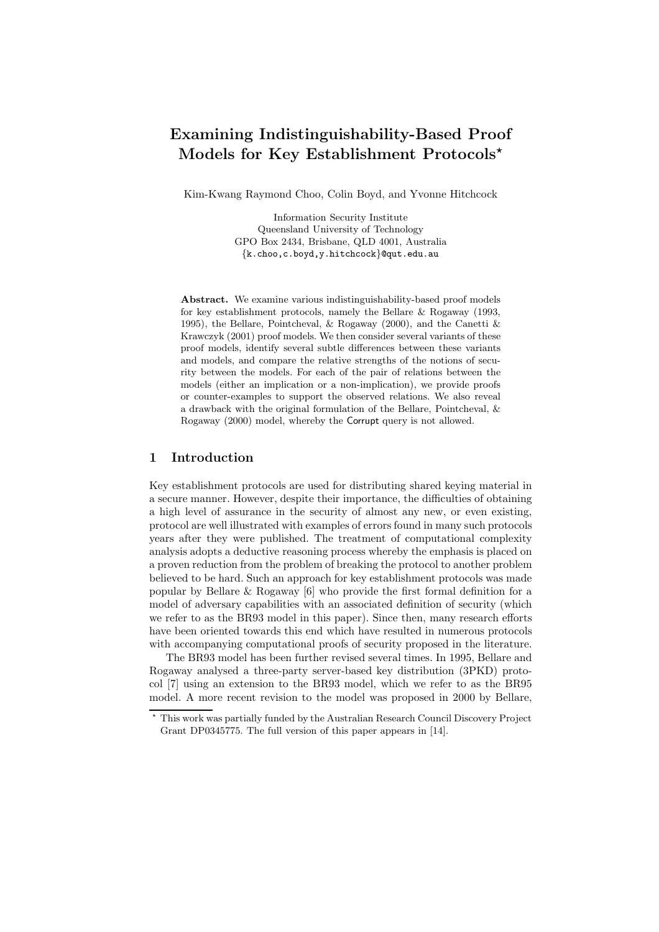# Examining Indistinguishability-Based Proof Models for Key Establishment Protocols?

Kim-Kwang Raymond Choo, Colin Boyd, and Yvonne Hitchcock

Information Security Institute Queensland University of Technology GPO Box 2434, Brisbane, QLD 4001, Australia {k.choo,c.boyd,y.hitchcock}@qut.edu.au

Abstract. We examine various indistinguishability-based proof models for key establishment protocols, namely the Bellare & Rogaway (1993, 1995), the Bellare, Pointcheval, & Rogaway (2000), and the Canetti & Krawczyk (2001) proof models. We then consider several variants of these proof models, identify several subtle differences between these variants and models, and compare the relative strengths of the notions of security between the models. For each of the pair of relations between the models (either an implication or a non-implication), we provide proofs or counter-examples to support the observed relations. We also reveal a drawback with the original formulation of the Bellare, Pointcheval, & Rogaway (2000) model, whereby the Corrupt query is not allowed.

### 1 Introduction

Key establishment protocols are used for distributing shared keying material in a secure manner. However, despite their importance, the difficulties of obtaining a high level of assurance in the security of almost any new, or even existing, protocol are well illustrated with examples of errors found in many such protocols years after they were published. The treatment of computational complexity analysis adopts a deductive reasoning process whereby the emphasis is placed on a proven reduction from the problem of breaking the protocol to another problem believed to be hard. Such an approach for key establishment protocols was made popular by Bellare & Rogaway [6] who provide the first formal definition for a model of adversary capabilities with an associated definition of security (which we refer to as the BR93 model in this paper). Since then, many research efforts have been oriented towards this end which have resulted in numerous protocols with accompanying computational proofs of security proposed in the literature.

The BR93 model has been further revised several times. In 1995, Bellare and Rogaway analysed a three-party server-based key distribution (3PKD) protocol [7] using an extension to the BR93 model, which we refer to as the BR95 model. A more recent revision to the model was proposed in 2000 by Bellare,

<sup>?</sup> This work was partially funded by the Australian Research Council Discovery Project Grant DP0345775. The full version of this paper appears in [14].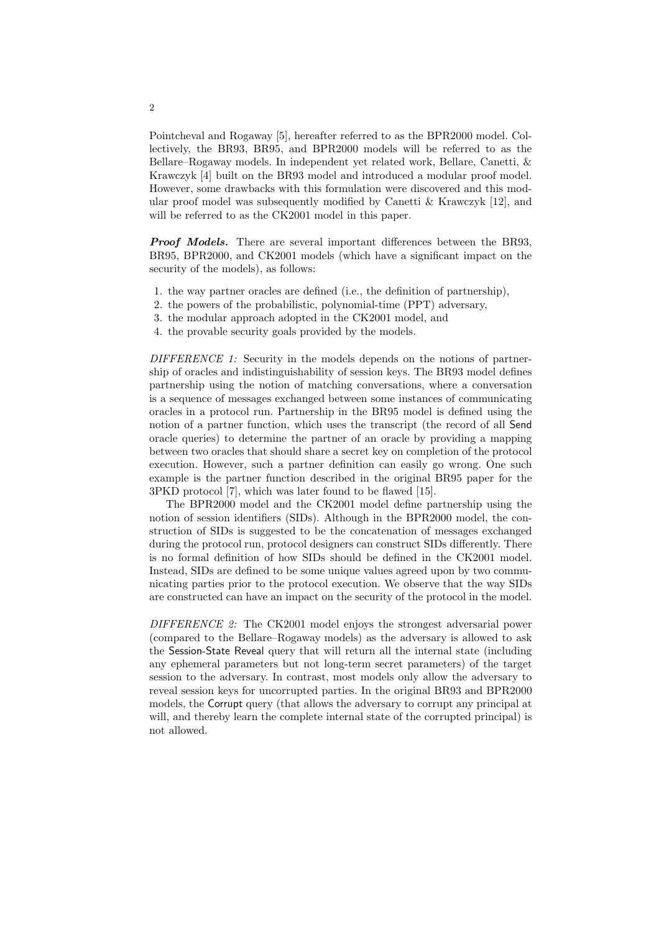Pointcheval and Rogaway [5], hereafter referred to as the BPR2000 model. Collectively, the BR93, BR95, and BPR2000 models will be referred to as the Bellare–Rogaway models. In independent yet related work, Bellare, Canetti, & Krawczyk [4] built on the BR93 model and introduced a modular proof model. However, some drawbacks with this formulation were discovered and this modular proof model was subsequently modified by Canetti & Krawczyk [12], and will be referred to as the CK2001 model in this paper.

**Proof Models.** There are several important differences between the BR93. BR95, BPR2000, and CK2001 models (which have a significant impact on the security of the models), as follows:

- 1. the way partner oracles are defined (i.e., the definition of partnership),
- 2. the powers of the probabilistic, polynomial-time (PPT) adversary,
- 3. the modular approach adopted in the CK2001 model, and
- 4. the provable security goals provided by the models.

DIFFERENCE 1: Security in the models depends on the notions of partnership of oracles and indistinguishability of session keys. The BR93 model defines partnership using the notion of matching conversations, where a conversation is a sequence of messages exchanged between some instances of communicating oracles in a protocol run. Partnership in the BR95 model is defined using the notion of a partner function, which uses the transcript (the record of all Send oracle queries) to determine the partner of an oracle by providing a mapping between two oracles that should share a secret key on completion of the protocol execution. However, such a partner definition can easily go wrong. One such example is the partner function described in the original BR95 paper for the 3PKD protocol [7], which was later found to be flawed [15].

The BPR2000 model and the CK2001 model define partnership using the notion of session identifiers (SIDs). Although in the BPR2000 model, the construction of SIDs is suggested to be the concatenation of messages exchanged during the protocol run, protocol designers can construct SIDs differently. There is no formal definition of how SIDs should be defined in the CK2001 model. Instead, SIDs are defined to be some unique values agreed upon by two communicating parties prior to the protocol execution. We observe that the way SIDs are constructed can have an impact on the security of the protocol in the model.

DIFFERENCE 2: The CK2001 model enjoys the strongest adversarial power (compared to the Bellare–Rogaway models) as the adversary is allowed to ask the Session-State Reveal query that will return all the internal state (including any ephemeral parameters but not long-term secret parameters) of the target session to the adversary. In contrast, most models only allow the adversary to reveal session keys for uncorrupted parties. In the original BR93 and BPR2000 models, the Corrupt query (that allows the adversary to corrupt any principal at will, and thereby learn the complete internal state of the corrupted principal) is not allowed.

2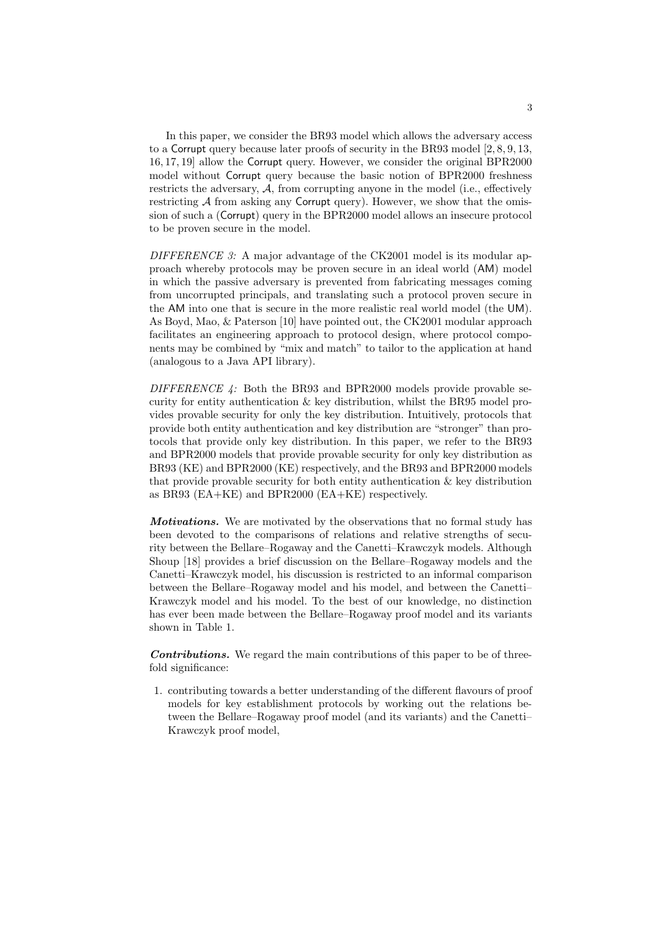In this paper, we consider the BR93 model which allows the adversary access to a Corrupt query because later proofs of security in the BR93 model [2, 8, 9, 13, 16, 17, 19] allow the Corrupt query. However, we consider the original BPR2000 model without Corrupt query because the basic notion of BPR2000 freshness restricts the adversary,  $A$ , from corrupting anyone in the model (i.e., effectively restricting  $A$  from asking any Corrupt query). However, we show that the omission of such a (Corrupt) query in the BPR2000 model allows an insecure protocol to be proven secure in the model.

DIFFERENCE 3: A major advantage of the CK2001 model is its modular approach whereby protocols may be proven secure in an ideal world (AM) model in which the passive adversary is prevented from fabricating messages coming from uncorrupted principals, and translating such a protocol proven secure in the AM into one that is secure in the more realistic real world model (the UM). As Boyd, Mao, & Paterson [10] have pointed out, the CK2001 modular approach facilitates an engineering approach to protocol design, where protocol components may be combined by "mix and match" to tailor to the application at hand (analogous to a Java API library).

DIFFERENCE  $\downarrow$ : Both the BR93 and BPR2000 models provide provable security for entity authentication  $\&$  key distribution, whilst the BR95 model provides provable security for only the key distribution. Intuitively, protocols that provide both entity authentication and key distribution are "stronger" than protocols that provide only key distribution. In this paper, we refer to the BR93 and BPR2000 models that provide provable security for only key distribution as BR93 (KE) and BPR2000 (KE) respectively, and the BR93 and BPR2000 models that provide provable security for both entity authentication & key distribution as BR93 (EA+KE) and BPR2000 (EA+KE) respectively.

*Motivations.* We are motivated by the observations that no formal study has been devoted to the comparisons of relations and relative strengths of security between the Bellare–Rogaway and the Canetti–Krawczyk models. Although Shoup [18] provides a brief discussion on the Bellare–Rogaway models and the Canetti–Krawczyk model, his discussion is restricted to an informal comparison between the Bellare–Rogaway model and his model, and between the Canetti– Krawczyk model and his model. To the best of our knowledge, no distinction has ever been made between the Bellare–Rogaway proof model and its variants shown in Table 1.

Contributions. We regard the main contributions of this paper to be of threefold significance:

1. contributing towards a better understanding of the different flavours of proof models for key establishment protocols by working out the relations between the Bellare–Rogaway proof model (and its variants) and the Canetti– Krawczyk proof model,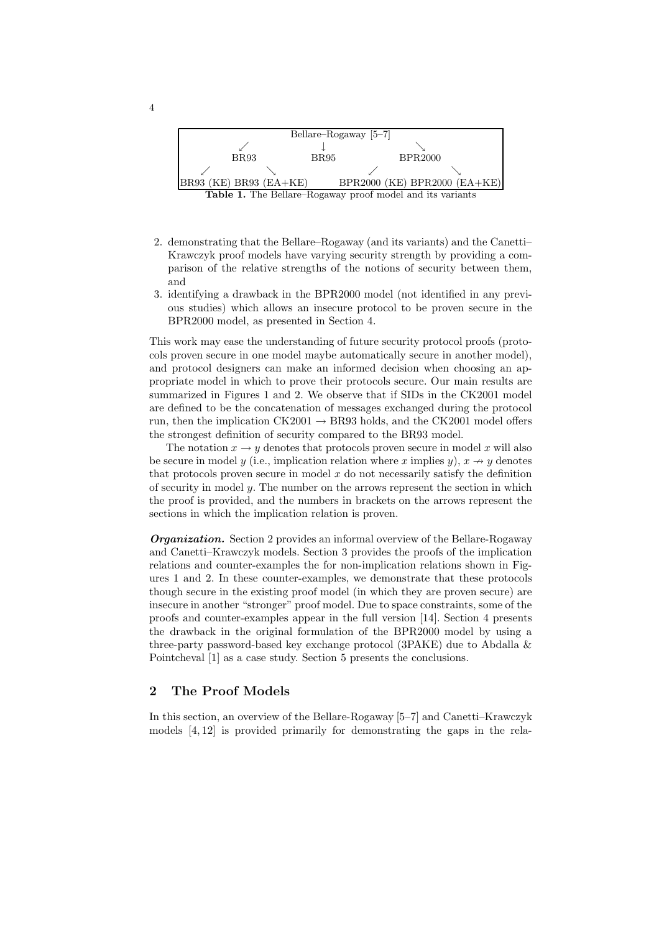

- 2. demonstrating that the Bellare–Rogaway (and its variants) and the Canetti– Krawczyk proof models have varying security strength by providing a comparison of the relative strengths of the notions of security between them, and
- 3. identifying a drawback in the BPR2000 model (not identified in any previous studies) which allows an insecure protocol to be proven secure in the BPR2000 model, as presented in Section 4.

This work may ease the understanding of future security protocol proofs (protocols proven secure in one model maybe automatically secure in another model), and protocol designers can make an informed decision when choosing an appropriate model in which to prove their protocols secure. Our main results are summarized in Figures 1 and 2. We observe that if SIDs in the CK2001 model are defined to be the concatenation of messages exchanged during the protocol run, then the implication  $CK2001 \rightarrow BR93$  holds, and the CK2001 model offers the strongest definition of security compared to the BR93 model.

The notation  $x \to y$  denotes that protocols proven secure in model x will also be secure in model y (i.e., implication relation where x implies y),  $x \to y$  denotes that protocols proven secure in model  $x$  do not necessarily satisfy the definition of security in model y. The number on the arrows represent the section in which the proof is provided, and the numbers in brackets on the arrows represent the sections in which the implication relation is proven.

**Organization.** Section 2 provides an informal overview of the Bellare-Rogaway and Canetti–Krawczyk models. Section 3 provides the proofs of the implication relations and counter-examples the for non-implication relations shown in Figures 1 and 2. In these counter-examples, we demonstrate that these protocols though secure in the existing proof model (in which they are proven secure) are insecure in another "stronger" proof model. Due to space constraints, some of the proofs and counter-examples appear in the full version [14]. Section 4 presents the drawback in the original formulation of the BPR2000 model by using a three-party password-based key exchange protocol (3PAKE) due to Abdalla & Pointcheval [1] as a case study. Section 5 presents the conclusions.

### 2 The Proof Models

In this section, an overview of the Bellare-Rogaway [5–7] and Canetti–Krawczyk models [4, 12] is provided primarily for demonstrating the gaps in the rela-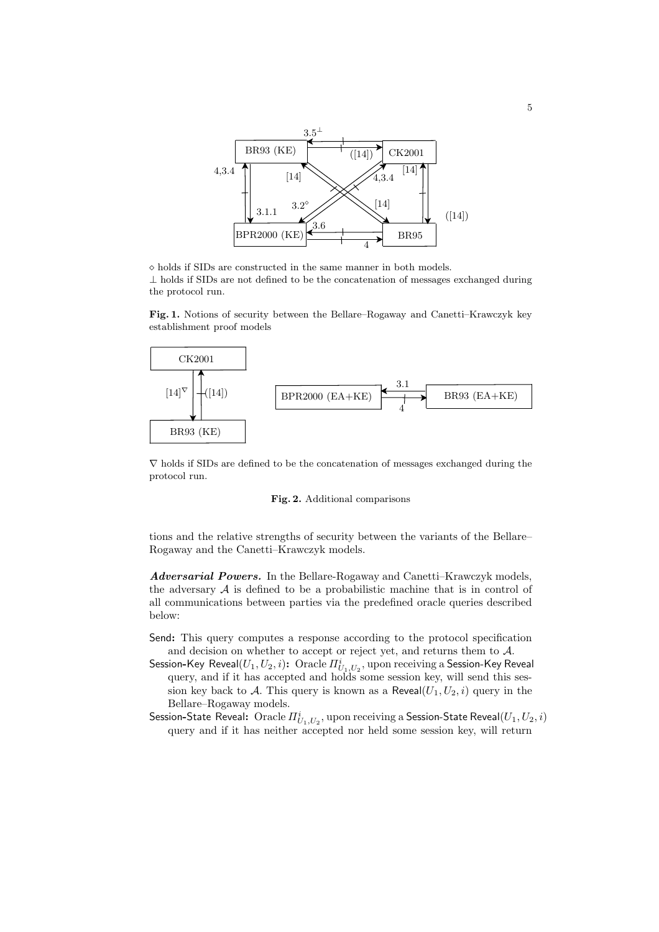BR93 (KE)  $\left| \frac{1}{\left( 14 \right)} \right|$  CK2001  $BPR2000 (KE)$   $BRS5$ 4,3.4 4 4,3.4 3.1.1 [14]  $(14)$ 3.6  $[14]$   $\bigvee$   $\bigvee$  4,3.4  $[14]$ 3.2 3.5<sup>⊥</sup>  $([14])$ 

 $\diamond$  holds if SIDs are constructed in the same manner in both models.

 $\perp$  holds if SIDs are not defined to be the concatenation of messages exchanged during the protocol run.

PSfrag replacements Fig. 1. Notions of security between the Bellare–Rogaway and Canetti–Krawczyk key CK2001<sup>establishment</sup> proof models



∇ holds if SIDs are defined to be the concatenation of messages exchanged during the protocol run.

#### Fig. 2. Additional comparisons

tions and the relative strengths of security between the variants of the Bellare– Rogaway and the Canetti–Krawczyk models.

Adversarial Powers. In the Bellare-Rogaway and Canetti–Krawczyk models, the adversary  $A$  is defined to be a probabilistic machine that is in control of all communications between parties via the predefined oracle queries described below:

- Send: This query computes a response according to the protocol specification and decision on whether to accept or reject yet, and returns them to A.
- Session-Key Reveal $(U_1,U_2,i)$ :  $\,\hbox{Oracle}\, I\!I_{U_1,U_2}^i,$  upon receiving a Session-Key Reveal query, and if it has accepted and holds some session key, will send this session key back to A. This query is known as a Reveal $(U_1, U_2, i)$  query in the Bellare–Rogaway models.
- Session-State Reveal:  $\,\hbox{Oracle}\, H_{U_1,U_2}^i,$  upon receiving a Session-State Reveal $(U_1,U_2,i)$ query and if it has neither accepted nor held some session key, will return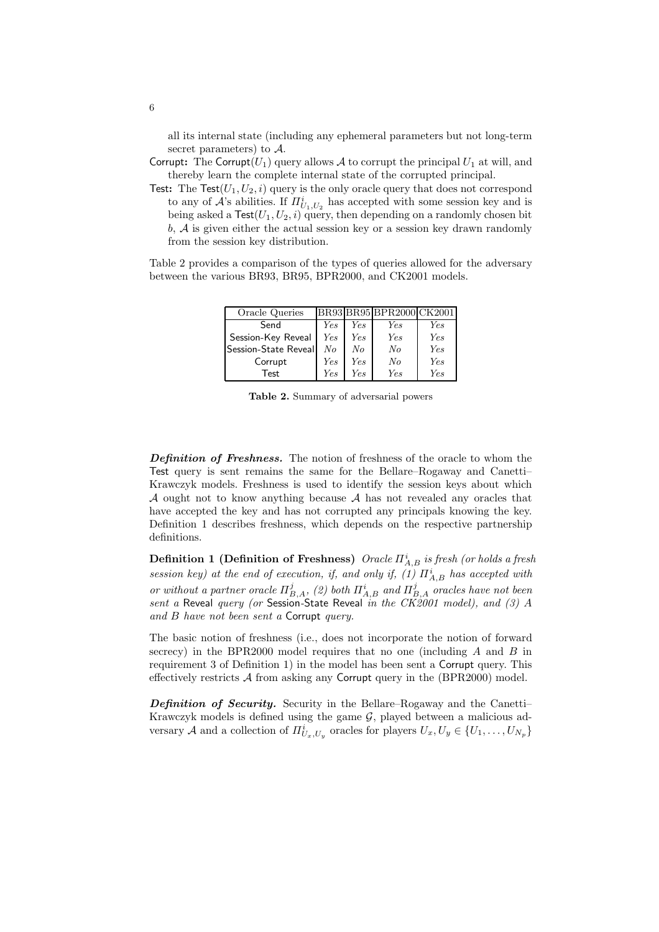all its internal state (including any ephemeral parameters but not long-term secret parameters) to A.

- Corrupt: The Corrupt( $U_1$ ) query allows A to corrupt the principal  $U_1$  at will, and thereby learn the complete internal state of the corrupted principal.
- Test: The Test( $U_1, U_2, i$ ) query is the only oracle query that does not correspond to any of  $\mathcal{A}$ 's abilities. If  $\Pi_{U_1,U_2}^i$  has accepted with some session key and is being asked a  $\textsf{Test}(U_1,U_2,i)$  query, then depending on a randomly chosen bit  $b, \mathcal{A}$  is given either the actual session key or a session key drawn randomly from the session key distribution.

Table 2 provides a comparison of the types of queries allowed for the adversary between the various BR93, BR95, BPR2000, and CK2001 models.

| Oracle Queries       |         |     | BR93 BR95 BPR2000 CK2001 |            |
|----------------------|---------|-----|--------------------------|------------|
| Send                 | Yes     | Yes | Yes                      | Yes        |
| Session-Key Reveal   | Yes     | Yes | Yes                      | <b>Yes</b> |
| Session-State Reveal | $N_{O}$ | No  | No                       | <b>Yes</b> |
| Corrupt              | Yes     | Yes | No                       | <b>Yes</b> |
| <b>Test</b>          | Ye.s    | Yes | Ye.s                     | Ye.s       |

Table 2. Summary of adversarial powers

Definition of Freshness. The notion of freshness of the oracle to whom the Test query is sent remains the same for the Bellare–Rogaway and Canetti– Krawczyk models. Freshness is used to identify the session keys about which A ought not to know anything because  $A$  has not revealed any oracles that have accepted the key and has not corrupted any principals knowing the key. Definition 1 describes freshness, which depends on the respective partnership definitions.

**Definition 1 (Definition of Freshness)** Oracle  $\Pi_{A,B}^i$  is fresh (or holds a fresh session key) at the end of execution, if, and only if, (1)  $\Pi_{A,B}^{i}$  has accepted with or without a partner oracle  $\Pi_{B,A}^j$ , (2) both  $\Pi_{A,B}^i$  and  $\Pi_{B,A}^j$  oracles have not been sent a Reveal query (or Session-State Reveal in the  $CK2001$  model), and (3) A and B have not been sent a Corrupt query.

The basic notion of freshness (i.e., does not incorporate the notion of forward secrecy) in the BPR2000 model requires that no one (including  $A$  and  $B$  in requirement 3 of Definition 1) in the model has been sent a Corrupt query. This effectively restricts  $A$  from asking any Corrupt query in the (BPR2000) model.

Definition of Security. Security in the Bellare–Rogaway and the Canetti– Krawczyk models is defined using the game  $\mathcal{G}$ , played between a malicious adversary A and a collection of  $\Pi^i_{U_x,U_y}$  oracles for players  $U_x, U_y \in \{U_1, \ldots, U_{N_p}\}$ 

6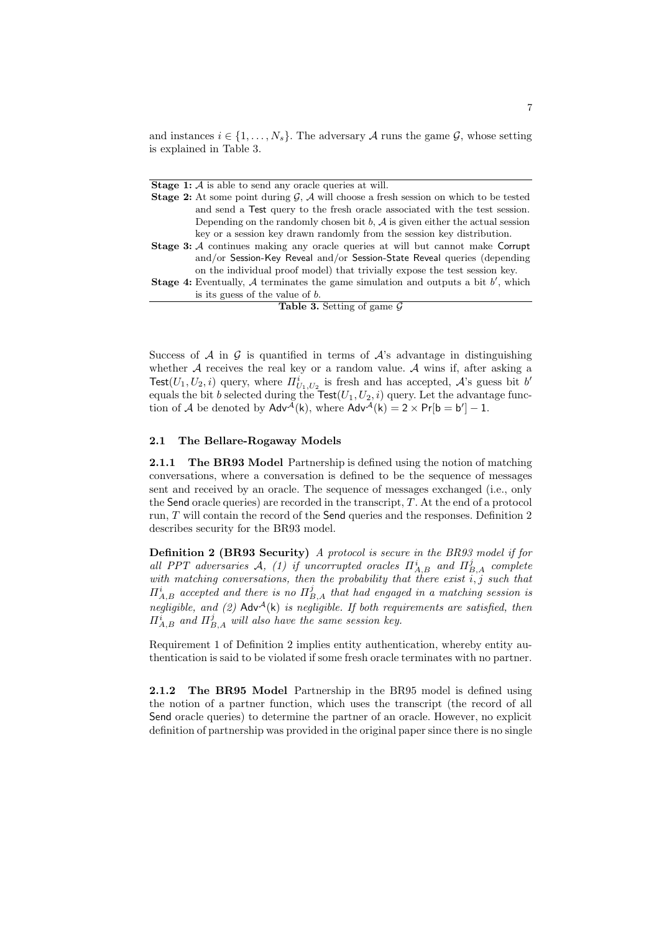and instances  $i \in \{1, \ldots, N_s\}$ . The adversary A runs the game G, whose setting is explained in Table 3.

**Stage 1:** A is able to send any oracle queries at will.

|  | <b>Stage 2:</b> At some point during $\mathcal{G}, \mathcal{A}$ will choose a fresh session on which to be tested |
|--|-------------------------------------------------------------------------------------------------------------------|
|  | and send a Test query to the fresh oracle associated with the test session.                                       |
|  | Depending on the randomly chosen bit $b$ , $\mathcal A$ is given either the actual session                        |
|  | key or a session key drawn randomly from the session key distribution.                                            |
|  | <b>Stage 3:</b> A continues making any oracle queries at will but cannot make Corrupt                             |
|  | and/or Session-Key Reveal and/or Session-State Reveal queries (depending                                          |
|  | on the individual proof model) that trivially expose the test session key.                                        |
|  | <b>Stage 4:</b> Eventually, A terminates the game simulation and outputs a bit $b'$ , which                       |
|  | is its guess of the value of $b$ .                                                                                |
|  | <b>Table 3.</b> Setting of game $\mathcal{G}$                                                                     |

Success of  $A$  in  $G$  is quantified in terms of  $A$ 's advantage in distinguishing whether  $A$  receives the real key or a random value.  $A$  wins if, after asking a Test $(U_1, U_2, i)$  query, where  $\prod_{U_1, U_2}^i$  is fresh and has accepted,  $\mathcal{A}$ 's guess bit b' equals the bit b selected during the Test $(U_1, U_2, i)$  query. Let the advantage function of A be denoted by  $\mathsf{Adv}^{\mathcal{A}}(k)$ , where  $\mathsf{Adv}^{\mathcal{A}}(k) = 2 \times \mathsf{Pr}[b = b'] - 1$ .

### 2.1 The Bellare-Rogaway Models

**2.1.1** The BR93 Model Partnership is defined using the notion of matching conversations, where a conversation is defined to be the sequence of messages sent and received by an oracle. The sequence of messages exchanged (i.e., only the Send oracle queries) are recorded in the transcript, T. At the end of a protocol run, T will contain the record of the Send queries and the responses. Definition 2 describes security for the BR93 model.

Definition 2 (BR93 Security) A protocol is secure in the BR93 model if for all PPT adversaries A, (1) if uncorrupted oracles  $\Pi_{A,B}^{i}$  and  $\Pi_{B,A}^{j}$  complete with matching conversations, then the probability that there exist  $\overline{i}, \overline{j}$  such that  $\Pi_{A,B}^{i}$  accepted and there is no  $\Pi_{B,A}^{j}$  that had engaged in a matching session is negligible, and (2) Adv<sup>A</sup>(k) is negligible. If both requirements are satisfied, then  $\Pi_{A,B}^i$  and  $\Pi_{B,A}^j$  will also have the same session key.

Requirement 1 of Definition 2 implies entity authentication, whereby entity authentication is said to be violated if some fresh oracle terminates with no partner.

2.1.2 The BR95 Model Partnership in the BR95 model is defined using the notion of a partner function, which uses the transcript (the record of all Send oracle queries) to determine the partner of an oracle. However, no explicit definition of partnership was provided in the original paper since there is no single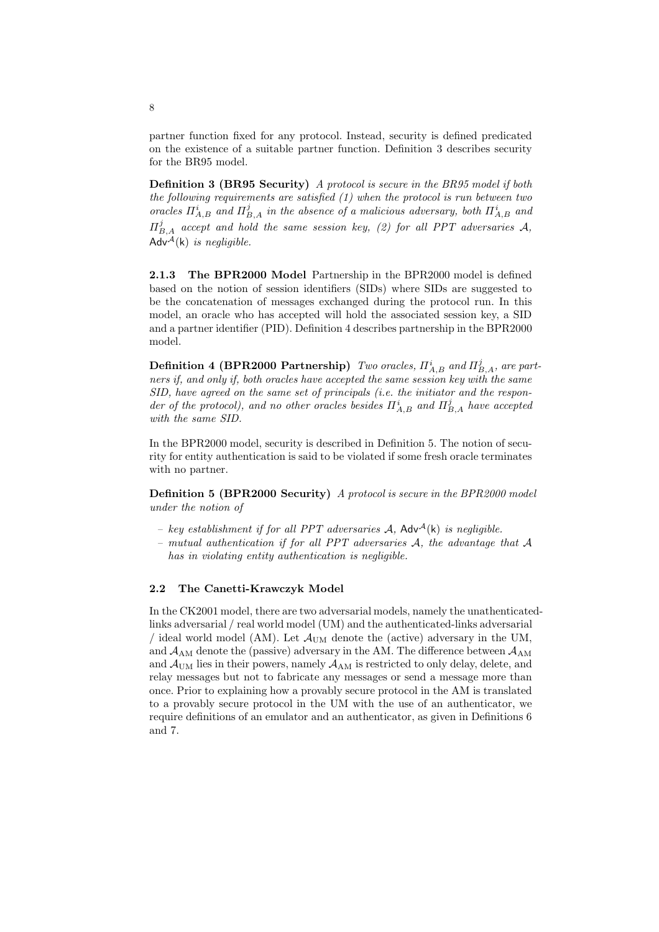partner function fixed for any protocol. Instead, security is defined predicated on the existence of a suitable partner function. Definition 3 describes security for the BR95 model.

Definition 3 (BR95 Security) A protocol is secure in the BR95 model if both the following requirements are satisfied (1) when the protocol is run between two oracles  $\Pi_{A,B}^i$  and  $\Pi_{B,A}^j$  in the absence of a malicious adversary, both  $\Pi_{A,B}^i$  and  $\Pi_{B,A}^j$  accept and hold the same session key, (2) for all PPT adversaries A, Adv<sup>A</sup>(k) is negligible.

2.1.3 The BPR2000 Model Partnership in the BPR2000 model is defined based on the notion of session identifiers (SIDs) where SIDs are suggested to be the concatenation of messages exchanged during the protocol run. In this model, an oracle who has accepted will hold the associated session key, a SID and a partner identifier (PID). Definition 4 describes partnership in the BPR2000 model.

**Definition 4 (BPR2000 Partnership)** Two oracles,  $\Pi_{A,B}^{i}$  and  $\Pi_{B,A}^{j}$ , are partners if, and only if, both oracles have accepted the same session key with the same SID, have agreed on the same set of principals (i.e. the initiator and the responder of the protocol), and no other oracles besides  $\Pi_{A,B}^{i}$  and  $\Pi_{B,A}^{j}$  have accepted with the same SID.

In the BPR2000 model, security is described in Definition 5. The notion of security for entity authentication is said to be violated if some fresh oracle terminates with no partner.

Definition 5 (BPR2000 Security) A protocol is secure in the BPR2000 model under the notion of

- key establishment if for all PPT adversaries  $A$ , Adv $A(k)$  is negligible.
- mutual authentication if for all PPT adversaries A, the advantage that A has in violating entity authentication is negligible.

#### 2.2 The Canetti-Krawczyk Model

In the CK2001 model, there are two adversarial models, namely the unathenticatedlinks adversarial / real world model (UM) and the authenticated-links adversarial / ideal world model (AM). Let  $\mathcal{A}_{\text{UM}}$  denote the (active) adversary in the UM, and  $A_{AM}$  denote the (passive) adversary in the AM. The difference between  $A_{AM}$ and  $\mathcal{A}_{\text{UM}}$  lies in their powers, namely  $\mathcal{A}_{\text{AM}}$  is restricted to only delay, delete, and relay messages but not to fabricate any messages or send a message more than once. Prior to explaining how a provably secure protocol in the AM is translated to a provably secure protocol in the UM with the use of an authenticator, we require definitions of an emulator and an authenticator, as given in Definitions 6 and 7.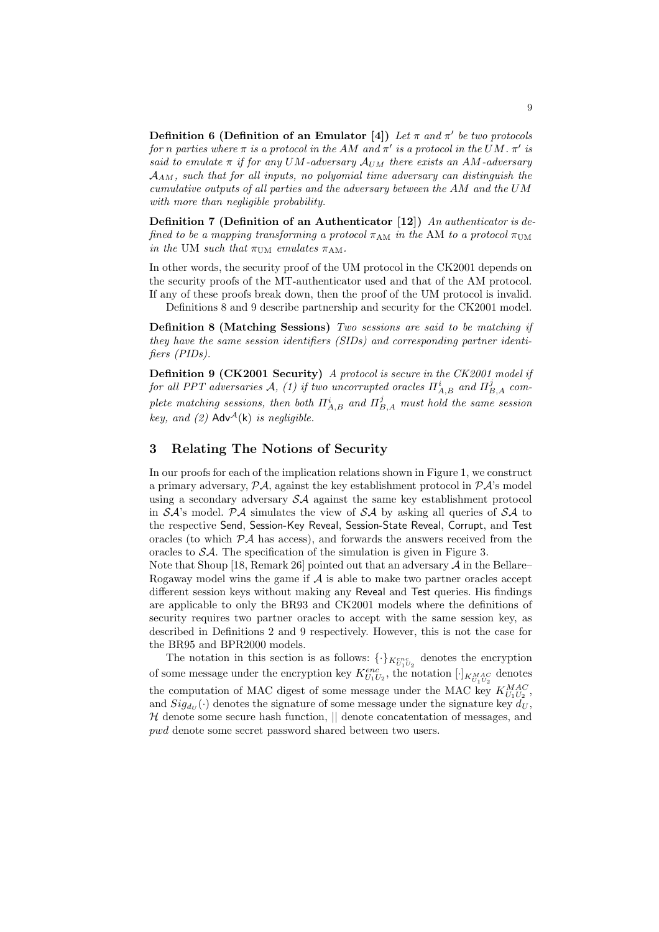Definition 6 (Definition of an Emulator [4]) Let  $\pi$  and  $\pi'$  be two protocols for n parties where  $\pi$  is a protocol in the AM and  $\pi'$  is a protocol in the UM.  $\pi'$  is said to emulate  $\pi$  if for any UM-adversary  $A_{UM}$  there exists an AM-adversary  $A_{AM}$ , such that for all inputs, no polyomial time adversary can distinguish the cumulative outputs of all parties and the adversary between the AM and the UM with more than negligible probability.

Definition 7 (Definition of an Authenticator [12]) An authenticator is defined to be a mapping transforming a protocol  $\pi_{AM}$  in the AM to a protocol  $\pi_{UM}$ in the UM such that  $\pi_{\text{UM}}$  emulates  $\pi_{\text{AM}}$ .

In other words, the security proof of the UM protocol in the CK2001 depends on the security proofs of the MT-authenticator used and that of the AM protocol. If any of these proofs break down, then the proof of the UM protocol is invalid.

Definitions 8 and 9 describe partnership and security for the CK2001 model.

Definition 8 (Matching Sessions) Two sessions are said to be matching if they have the same session identifiers (SIDs) and corresponding partner identifiers (PIDs).

Definition 9 (CK2001 Security) A protocol is secure in the CK2001 model if for all PPT adversaries A, (1) if two uncorrupted oracles  $\Pi_{A,B}^{i}$  and  $\Pi_{B,A}^{j}$  complete matching sessions, then both  $\Pi_{A,B}^{i}$  and  $\Pi_{B,A}^{j}$  must hold the same session key, and (2)  $\mathsf{Adv}^{\mathcal{A}}(\mathsf{k})$  is negligible.

### 3 Relating The Notions of Security

In our proofs for each of the implication relations shown in Figure 1, we construct a primary adversary,  $P\mathcal{A}$ , against the key establishment protocol in  $P\mathcal{A}$ 's model using a secondary adversary  $\mathcal{S}A$  against the same key establishment protocol in  $S\mathcal{A}$ 's model. P $\mathcal{A}$  simulates the view of  $S\mathcal{A}$  by asking all queries of  $S\mathcal{A}$  to the respective Send, Session-Key Reveal, Session-State Reveal, Corrupt, and Test oracles (to which  $\mathcal{P}A$  has access), and forwards the answers received from the oracles to SA. The specification of the simulation is given in Figure 3.

Note that Shoup [18, Remark 26] pointed out that an adversary  $A$  in the Bellare– Rogaway model wins the game if  $A$  is able to make two partner oracles accept different session keys without making any Reveal and Test queries. His findings are applicable to only the BR93 and CK2001 models where the definitions of security requires two partner oracles to accept with the same session key, as described in Definitions 2 and 9 respectively. However, this is not the case for the BR95 and BPR2000 models.

The notation in this section is as follows:  $\{\cdot\}_{K_{U_1U_2}}$  denotes the encryption of some message under the encryption key  $K_{U_1U_2}^{enc}$ , the notation  $[\cdot]_{K_{U_1U_2}^{MAC}}$  denotes the computation of MAC digest of some message under the MAC key  $K_{U_1U_2}^{MAC}$ , and  $Sig_{dv}(\cdot)$  denotes the signature of some message under the signature key  $d_U$ ,  $H$  denote some secure hash function,  $\parallel$  denote concatentation of messages, and pwd denote some secret password shared between two users.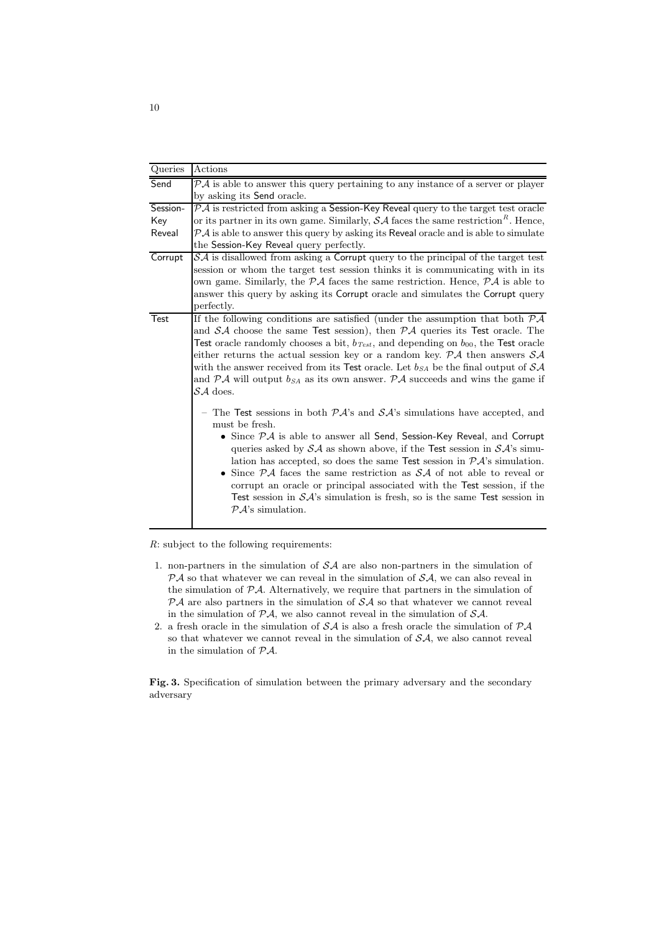| Queries  | Actions                                                                                                                                                                                                                                                                                                                                                                                                                                                                                                                                                                                                                                                                                                                          |
|----------|----------------------------------------------------------------------------------------------------------------------------------------------------------------------------------------------------------------------------------------------------------------------------------------------------------------------------------------------------------------------------------------------------------------------------------------------------------------------------------------------------------------------------------------------------------------------------------------------------------------------------------------------------------------------------------------------------------------------------------|
| Send     | $P\mathcal{A}$ is able to answer this query pertaining to any instance of a server or player                                                                                                                                                                                                                                                                                                                                                                                                                                                                                                                                                                                                                                     |
|          | by asking its Send oracle.                                                                                                                                                                                                                                                                                                                                                                                                                                                                                                                                                                                                                                                                                                       |
| Session- | $\mathcal{P} \mathcal{A}$ is restricted from asking a Session-Key Reveal query to the target test oracle                                                                                                                                                                                                                                                                                                                                                                                                                                                                                                                                                                                                                         |
| Key      | or its partner in its own game. Similarly, $\mathcal{SA}$ faces the same restriction <sup><math>R</math></sup> . Hence,                                                                                                                                                                                                                                                                                                                                                                                                                                                                                                                                                                                                          |
| Reveal   | $P\mathcal{A}$ is able to answer this query by asking its Reveal oracle and is able to simulate                                                                                                                                                                                                                                                                                                                                                                                                                                                                                                                                                                                                                                  |
|          | the Session-Key Reveal query perfectly.                                                                                                                                                                                                                                                                                                                                                                                                                                                                                                                                                                                                                                                                                          |
| Corrupt  | $\mathcal{S}\mathcal{A}$ is disallowed from asking a Corrupt query to the principal of the target test<br>session or whom the target test session thinks it is communicating with in its<br>own game. Similarly, the $\mathcal{P} \mathcal{A}$ faces the same restriction. Hence, $\mathcal{P} \mathcal{A}$ is able to                                                                                                                                                                                                                                                                                                                                                                                                           |
|          | answer this query by asking its Corrupt oracle and simulates the Corrupt query<br>perfectly.                                                                                                                                                                                                                                                                                                                                                                                                                                                                                                                                                                                                                                     |
| Test     | If the following conditions are satisfied (under the assumption that both $\overline{P}{\cal A}$<br>and $\mathcal{S}A$ choose the same Test session), then $\mathcal{P}A$ queries its Test oracle. The<br>Test oracle randomly chooses a bit, $b_{Test}$ , and depending on $b_{00}$ , the Test oracle<br>either returns the actual session key or a random key. $P\mathcal{A}$ then answers $\mathcal{SA}$<br>with the answer received from its Test oracle. Let $b_{SA}$ be the final output of $SA$<br>and $\mathcal{P}A$ will output $b_{SA}$ as its own answer. $\mathcal{P}A$ succeeds and wins the game if<br>$S\mathcal{A}$ does.                                                                                        |
|          | - The Test sessions in both $\mathcal{P}A$ 's and $\mathcal{S}A$ 's simulations have accepted, and<br>must be fresh.<br>• Since $\mathcal{P}A$ is able to answer all Send, Session-Key Reveal, and Corrupt<br>queries asked by $\mathcal{SA}$ as shown above, if the Test session in $\mathcal{SA}$ 's simu-<br>lation has accepted, so does the same Test session in $\mathcal{P} \mathcal{A}$ 's simulation.<br>• Since $\mathcal{P} A$ faces the same restriction as $\mathcal{S} A$ of not able to reveal or<br>corrupt an oracle or principal associated with the Test session, if the<br>Test session in $\mathcal{SA}$ 's simulation is fresh, so is the same Test session in<br>$\mathcal{P} \mathcal{A}$ 's simulation. |

R: subject to the following requirements:

- 1. non-partners in the simulation of  $\mathcal{S}A$  are also non-partners in the simulation of  $P\mathcal{A}$  so that whatever we can reveal in the simulation of  $\mathcal{SA}$ , we can also reveal in the simulation of PA. Alternatively, we require that partners in the simulation of  $P\mathcal{A}$  are also partners in the simulation of  $\mathcal{S}\mathcal{A}$  so that whatever we cannot reveal in the simulation of  $P\mathcal{A}$ , we also cannot reveal in the simulation of  $\mathcal{SA}$ .
- 2. a fresh oracle in the simulation of  $S\mathcal{A}$  is also a fresh oracle the simulation of  $\mathcal{P}\mathcal{A}$ so that whatever we cannot reveal in the simulation of  $\mathcal{SA}$ , we also cannot reveal in the simulation of  $\mathcal{P}\mathcal{A}$ .

Fig. 3. Specification of simulation between the primary adversary and the secondary adversary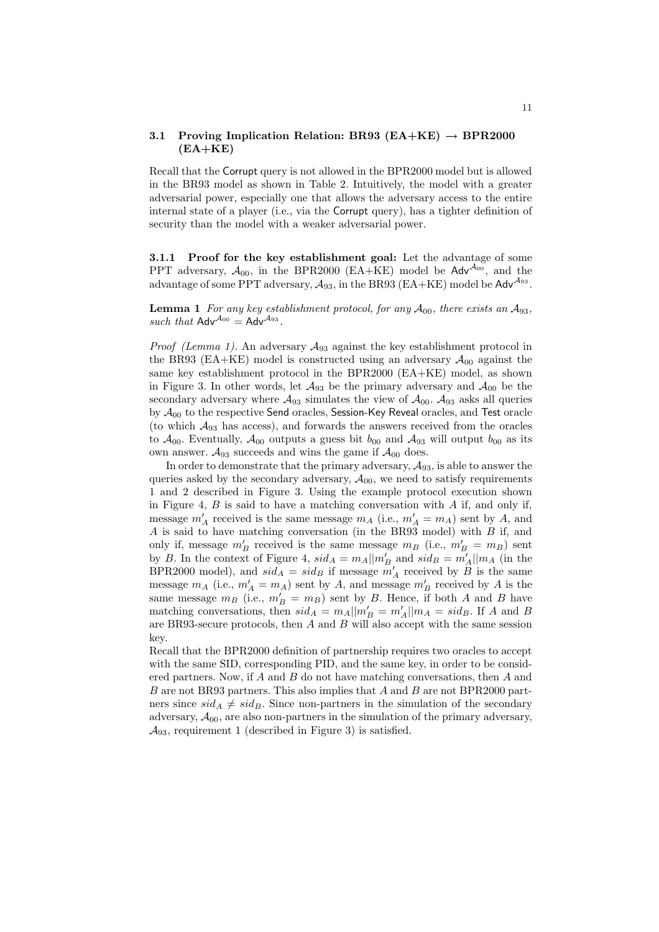#### 3.1 Proving Implication Relation: BR93 ( $EA+KE$ )  $\rightarrow$  BPR2000  $(EA+KE)$

Recall that the Corrupt query is not allowed in the BPR2000 model but is allowed in the BR93 model as shown in Table 2. Intuitively, the model with a greater adversarial power, especially one that allows the adversary access to the entire internal state of a player (i.e., via the Corrupt query), has a tighter definition of security than the model with a weaker adversarial power.

3.1.1 Proof for the key establishment goal: Let the advantage of some PPT adversary,  $A_{00}$ , in the BPR2000 (EA+KE) model be Adv<sup> $A_{00}$ </sup>, and the advantage of some PPT adversary,  $\mathcal{A}_{93}$ , in the BR93 (EA+KE) model be Adv<sup> $\mathcal{A}_{93}$ </sup>.

**Lemma 1** For any key establishment protocol, for any  $A_{00}$ , there exists an  $A_{93}$ , such that  $\mathsf{Adv}^{\mathcal{A}_{00}} = \mathsf{Adv}^{\mathcal{A}_{93}}$ .

*Proof (Lemma 1).* An adversary  $A_{93}$  against the key establishment protocol in the BR93 (EA+KE) model is constructed using an adversary  $A_{00}$  against the same key establishment protocol in the BPR2000 (EA+KE) model, as shown in Figure 3. In other words, let  $\mathcal{A}_{93}$  be the primary adversary and  $\mathcal{A}_{00}$  be the secondary adversary where  $\mathcal{A}_{93}$  simulates the view of  $\mathcal{A}_{00}$ .  $\mathcal{A}_{93}$  asks all queries by  $\mathcal{A}_{00}$  to the respective Send oracles, Session-Key Reveal oracles, and Test oracle (to which  $A_{93}$  has access), and forwards the answers received from the oracles to  $A_{00}$ . Eventually,  $A_{00}$  outputs a guess bit  $b_{00}$  and  $A_{93}$  will output  $b_{00}$  as its own answer.  $A_{93}$  succeeds and wins the game if  $A_{00}$  does.

In order to demonstrate that the primary adversary,  $A_{93}$ , is able to answer the queries asked by the secondary adversary,  $A_{00}$ , we need to satisfy requirements 1 and 2 described in Figure 3. Using the example protocol execution shown in Figure 4,  $B$  is said to have a matching conversation with  $A$  if, and only if, message  $m'_A$  received is the same message  $m_A$  (i.e.,  $m'_A = m_A$ ) sent by A, and  $\overrightarrow{A}$  is said to have matching conversation (in the BR93 model) with  $\overrightarrow{B}$  if, and only if, message  $m'_B$  received is the same message  $m_B$  (i.e.,  $m'_B = m_B$ ) sent by B. In the context of Figure 4,  $sid_A = m_A || m'_B$  and  $sid_B = m'_A || m_A$  (in the BPR2000 model), and  $sid_A = sid_B$  if message  $m'_A$  received by  $B$  is the same message  $m_A$  (i.e.,  $m'_A = m_A$ ) sent by A, and message  $m'_B$  received by A is the same message  $m_B$  (i.e.,  $m'_B = m_B$ ) sent by B. Hence, if both A and B have matching conversations, then  $sid_A = m_A || m'_B = m'_A || m_A = sid_B$ . If A and B are BR93-secure protocols, then  $A$  and  $B$  will also accept with the same session key.

Recall that the BPR2000 definition of partnership requires two oracles to accept with the same SID, corresponding PID, and the same key, in order to be considered partners. Now, if A and B do not have matching conversations, then A and  $B$  are not BR93 partners. This also implies that  $A$  and  $B$  are not BPR2000 partners since  $sid_A \neq sid_B$ . Since non-partners in the simulation of the secondary adversary,  $A_{00}$ , are also non-partners in the simulation of the primary adversary,  $\mathcal{A}_{93}$ , requirement 1 (described in Figure 3) is satisfied.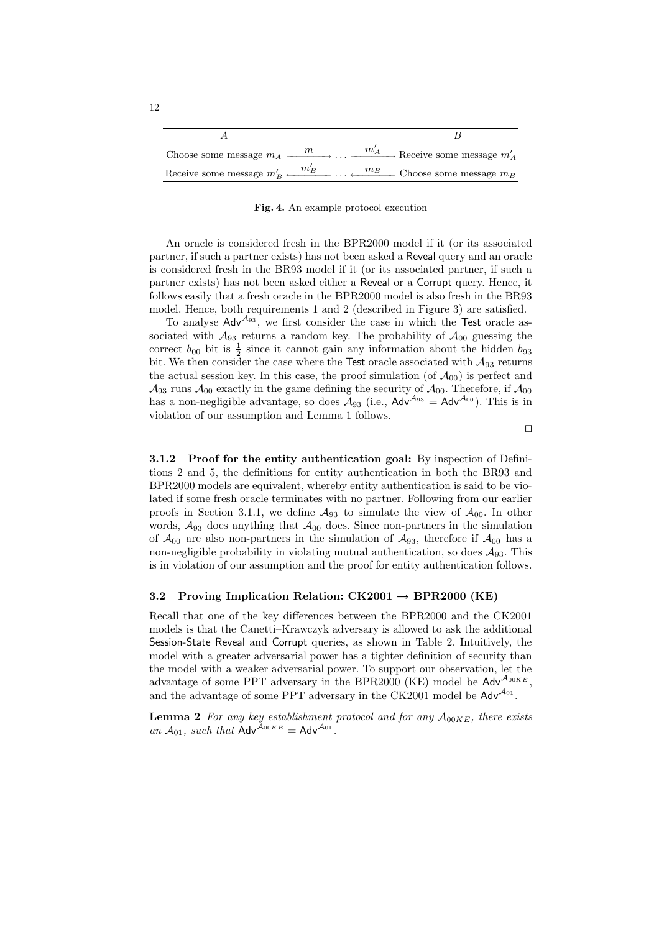|  | Choose some message $m_A \xrightarrow{m} \cdots \xrightarrow{m'_A}$ Receive some message $m'_A$                           |
|--|---------------------------------------------------------------------------------------------------------------------------|
|  | Receive some message $m'_B \leftarrow \frac{m'_B}{\cdots} \cdots \leftarrow \frac{m_B}{\cdots}$ Choose some message $m_B$ |

Fig. 4. An example protocol execution

An oracle is considered fresh in the BPR2000 model if it (or its associated partner, if such a partner exists) has not been asked a Reveal query and an oracle is considered fresh in the BR93 model if it (or its associated partner, if such a partner exists) has not been asked either a Reveal or a Corrupt query. Hence, it follows easily that a fresh oracle in the BPR2000 model is also fresh in the BR93 model. Hence, both requirements 1 and 2 (described in Figure 3) are satisfied.

To analyse  $\text{Adv}^{\mathcal{A}_{93}}$ , we first consider the case in which the Test oracle associated with  $A_{93}$  returns a random key. The probability of  $A_{00}$  guessing the correct  $b_{00}$  bit is  $\frac{1}{2}$  since it cannot gain any information about the hidden  $b_{93}$ bit. We then consider the case where the Test oracle associated with  $\mathcal{A}_{93}$  returns the actual session key. In this case, the proof simulation (of  $\mathcal{A}_{00}$ ) is perfect and  $\mathcal{A}_{93}$  runs  $\mathcal{A}_{00}$  exactly in the game defining the security of  $\mathcal{A}_{00}$ . Therefore, if  $\mathcal{A}_{00}$ has a non-negligible advantage, so does  $A_{93}$  (i.e.,  $A dv^{A_{93}} = A dv^{A_{00}}$ ). This is in violation of our assumption and Lemma 1 follows.

 $\Box$ 

3.1.2 Proof for the entity authentication goal: By inspection of Definitions 2 and 5, the definitions for entity authentication in both the BR93 and BPR2000 models are equivalent, whereby entity authentication is said to be violated if some fresh oracle terminates with no partner. Following from our earlier proofs in Section 3.1.1, we define  $\mathcal{A}_{93}$  to simulate the view of  $\mathcal{A}_{00}$ . In other words,  $A_{93}$  does anything that  $A_{00}$  does. Since non-partners in the simulation of  $\mathcal{A}_{00}$  are also non-partners in the simulation of  $\mathcal{A}_{93}$ , therefore if  $\mathcal{A}_{00}$  has a non-negligible probability in violating mutual authentication, so does  $\mathcal{A}_{93}$ . This is in violation of our assumption and the proof for entity authentication follows.

#### 3.2 Proving Implication Relation:  $CK2001 \rightarrow BPR2000$  (KE)

Recall that one of the key differences between the BPR2000 and the CK2001 models is that the Canetti–Krawczyk adversary is allowed to ask the additional Session-State Reveal and Corrupt queries, as shown in Table 2. Intuitively, the model with a greater adversarial power has a tighter definition of security than the model with a weaker adversarial power. To support our observation, let the advantage of some PPT adversary in the BPR2000 (KE) model be  $\mathsf{Adv}^{\mathcal{A}_{00KE}}$ . and the advantage of some PPT adversary in the CK2001 model be  $Adv^{A_{01}}$ .

**Lemma 2** For any key establishment protocol and for any  $A_{00KE}$ , there exists an  $A_{01}$ , such that  $\mathsf{Adv}^{\mathcal{A}_{00KE}} = \mathsf{Adv}^{\mathcal{A}_{01}}$ .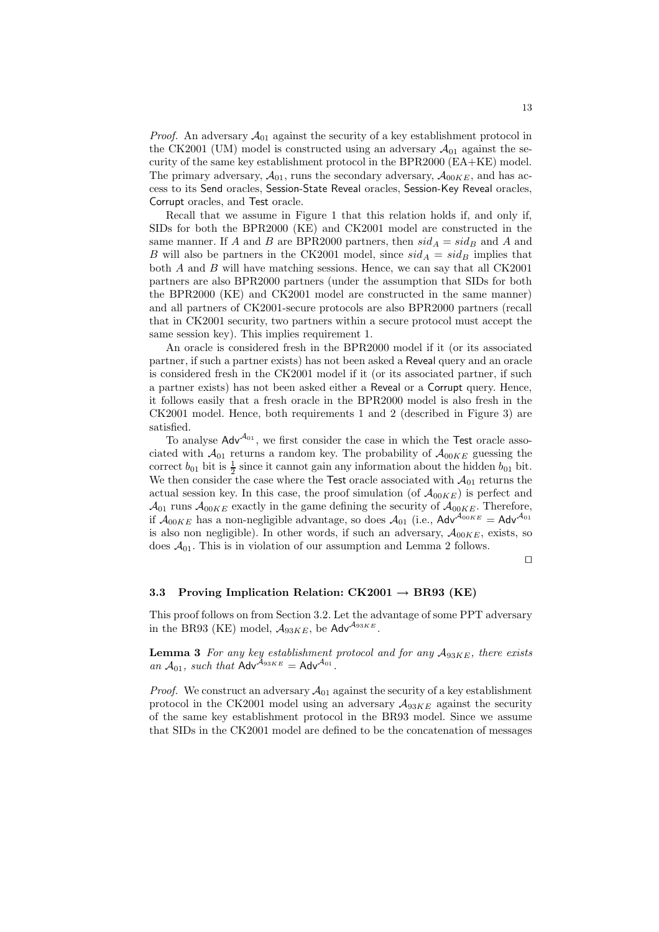*Proof.* An adversary  $A_{01}$  against the security of a key establishment protocol in the CK2001 (UM) model is constructed using an adversary  $\mathcal{A}_{01}$  against the security of the same key establishment protocol in the BPR2000 (EA+KE) model. The primary adversary,  $\mathcal{A}_{01}$ , runs the secondary adversary,  $\mathcal{A}_{00KE}$ , and has access to its Send oracles, Session-State Reveal oracles, Session-Key Reveal oracles, Corrupt oracles, and Test oracle.

Recall that we assume in Figure 1 that this relation holds if, and only if, SIDs for both the BPR2000 (KE) and CK2001 model are constructed in the same manner. If A and B are BPR2000 partners, then  $sid_A = sid_B$  and A and B will also be partners in the CK2001 model, since  $sid_A = sid_B$  implies that both  $A$  and  $B$  will have matching sessions. Hence, we can say that all  $CK2001$ partners are also BPR2000 partners (under the assumption that SIDs for both the BPR2000 (KE) and CK2001 model are constructed in the same manner) and all partners of CK2001-secure protocols are also BPR2000 partners (recall that in CK2001 security, two partners within a secure protocol must accept the same session key). This implies requirement 1.

An oracle is considered fresh in the BPR2000 model if it (or its associated partner, if such a partner exists) has not been asked a Reveal query and an oracle is considered fresh in the CK2001 model if it (or its associated partner, if such a partner exists) has not been asked either a Reveal or a Corrupt query. Hence, it follows easily that a fresh oracle in the BPR2000 model is also fresh in the CK2001 model. Hence, both requirements 1 and 2 (described in Figure 3) are satisfied.

To analyse  $\mathsf{Adv}^{\mathcal{A}_{01}}$ , we first consider the case in which the Test oracle associated with  $\mathcal{A}_{01}$  returns a random key. The probability of  $\mathcal{A}_{00KE}$  guessing the correct  $b_{01}$  bit is  $\frac{1}{2}$  since it cannot gain any information about the hidden  $b_{01}$  bit. We then consider the case where the Test oracle associated with  $\mathcal{A}_{01}$  returns the actual session key. In this case, the proof simulation (of  $\mathcal{A}_{00KE}$ ) is perfect and  $\mathcal{A}_{01}$  runs  $\mathcal{A}_{00KE}$  exactly in the game defining the security of  $\mathcal{A}_{00KE}$ . Therefore, if  $A_{00KE}$  has a non-negligible advantage, so does  $A_{01}$  (i.e.,  $\mathsf{Adv}^{A_{00KE}} = \mathsf{Adv}^{A_{01}}$ is also non negligible). In other words, if such an adversary,  $A_{00KE}$ , exists, so does  $\mathcal{A}_{01}$ . This is in violation of our assumption and Lemma 2 follows.

 $\Box$ 

#### 3.3 Proving Implication Relation:  $CK2001 \rightarrow BR93$  (KE)

This proof follows on from Section 3.2. Let the advantage of some PPT adversary in the BR93 (KE) model,  $A_{93KE}$ , be Adv<sup> $A_{93KE}$ </sup>.

**Lemma 3** For any key establishment protocol and for any  $A_{93KE}$ , there exists an  $A_{01}$ , such that  $\mathsf{Adv}^{\mathcal{A}_{93KE}} = \mathsf{Adv}^{\mathcal{A}_{01}}$ .

*Proof.* We construct an adversary  $A_{01}$  against the security of a key establishment protocol in the CK2001 model using an adversary  $A_{93KE}$  against the security of the same key establishment protocol in the BR93 model. Since we assume that SIDs in the CK2001 model are defined to be the concatenation of messages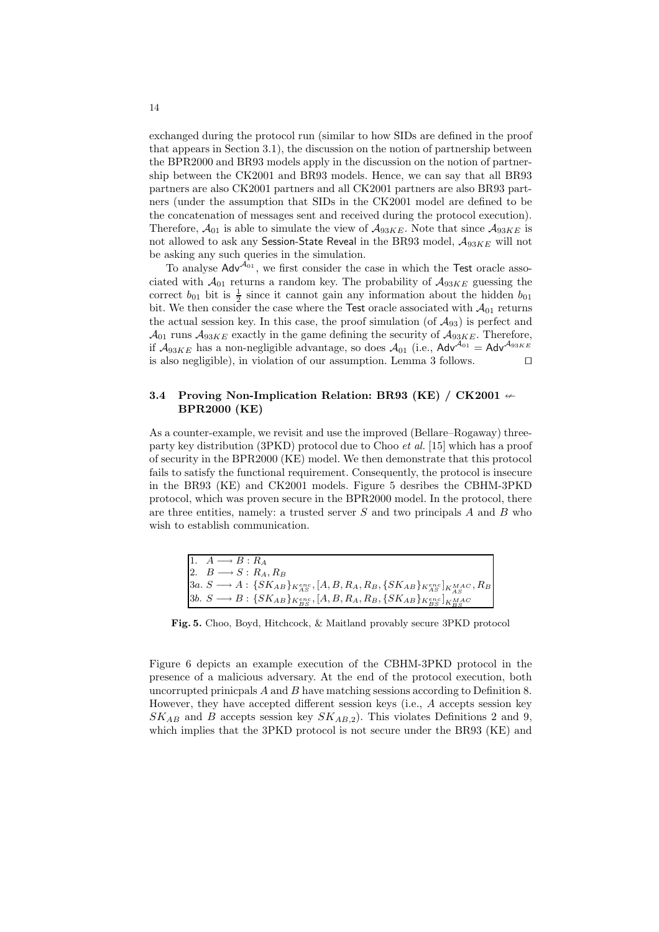exchanged during the protocol run (similar to how SIDs are defined in the proof that appears in Section 3.1), the discussion on the notion of partnership between the BPR2000 and BR93 models apply in the discussion on the notion of partnership between the CK2001 and BR93 models. Hence, we can say that all BR93 partners are also CK2001 partners and all CK2001 partners are also BR93 partners (under the assumption that SIDs in the CK2001 model are defined to be the concatenation of messages sent and received during the protocol execution). Therefore,  $\mathcal{A}_{01}$  is able to simulate the view of  $\mathcal{A}_{93KE}$ . Note that since  $\mathcal{A}_{93KE}$  is not allowed to ask any Session-State Reveal in the BR93 model,  $A_{93KE}$  will not be asking any such queries in the simulation.

To analyse  $\mathsf{Adv}^{\mathcal{A}_{01}}$ , we first consider the case in which the Test oracle associated with  $A_{01}$  returns a random key. The probability of  $A_{93KE}$  guessing the correct  $b_{01}$  bit is  $\frac{1}{2}$  since it cannot gain any information about the hidden  $b_{01}$ bit. We then consider the case where the Test oracle associated with  $A_{01}$  returns the actual session key. In this case, the proof simulation (of  $A_{93}$ ) is perfect and  $\mathcal{A}_{01}$  runs  $\mathcal{A}_{93KE}$  exactly in the game defining the security of  $\mathcal{A}_{93KE}$ . Therefore, if  $A_{93KE}$  has a non-negligible advantage, so does  $A_{01}$  (i.e.,  $Adv^{A_{01}} = Adv^{A_{93KE}}$ is also negligible), in violation of our assumption. Lemma 3 follows.  $\square$ 

### 3.4 Proving Non-Implication Relation: BR93 (KE) / CK2001  $\leftarrow$ BPR2000 (KE)

As a counter-example, we revisit and use the improved (Bellare–Rogaway) threeparty key distribution (3PKD) protocol due to Choo et al. [15] which has a proof of security in the BPR2000 (KE) model. We then demonstrate that this protocol fails to satisfy the functional requirement. Consequently, the protocol is insecure in the BR93 (KE) and CK2001 models. Figure 5 desribes the CBHM-3PKD protocol, which was proven secure in the BPR2000 model. In the protocol, there are three entities, namely: a trusted server  $S$  and two principals  $A$  and  $B$  who wish to establish communication.

| $1. \quad A \longrightarrow B : R_A$                                                                                     |
|--------------------------------------------------------------------------------------------------------------------------|
| 2. $B \longrightarrow S : R_A, R_B$                                                                                      |
| 3a. $S \longrightarrow A: \{SK_{AB}\}_{K_{AS}^{enc}}, [A, B, R_A, R_B, \{SK_{AB}\}_{K_{AS}^{enc}}]_{KM_{AS}^{MAC}}, R_B$ |
| 3b. $S \longrightarrow B: \{SK_{AB}\}_{K_{BS}^{enc}}, [A, B, R_A, R_B, \{SK_{AB}\}_{K_{BS}^{enc}}]_{K_{BS}^{MAC}}$       |

Fig. 5. Choo, Boyd, Hitchcock, & Maitland provably secure 3PKD protocol

Figure 6 depicts an example execution of the CBHM-3PKD protocol in the presence of a malicious adversary. At the end of the protocol execution, both uncorrupted prinicpals  $A$  and  $B$  have matching sessions according to Definition 8. However, they have accepted different session keys (i.e., A accepts session key  $SK_{AB}$  and B accepts session key  $SK_{AB,2}$ ). This violates Definitions 2 and 9, which implies that the 3PKD protocol is not secure under the BR93 (KE) and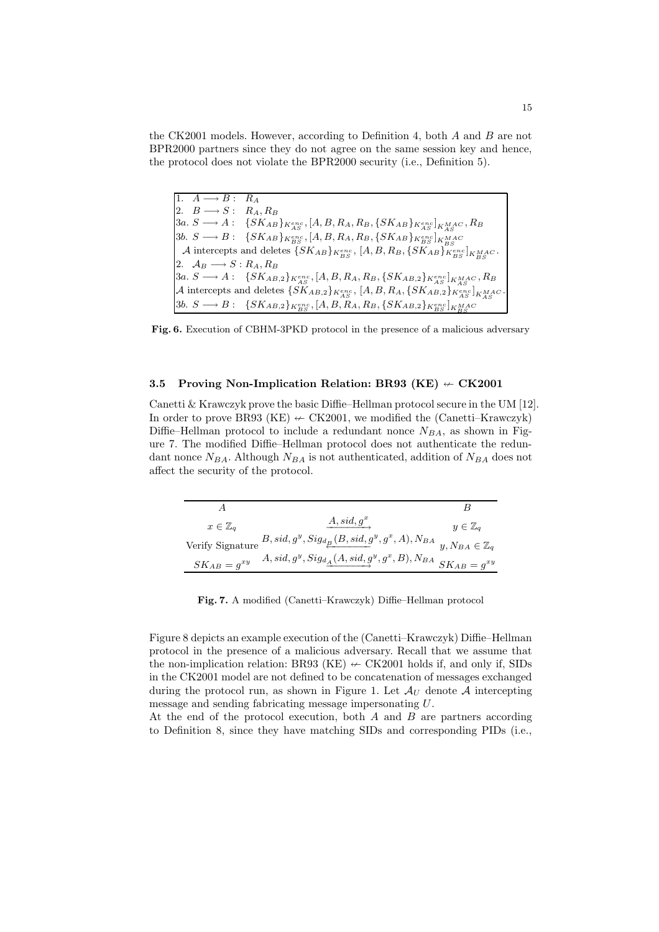the CK2001 models. However, according to Definition 4, both  $A$  and  $B$  are not BPR2000 partners since they do not agree on the same session key and hence, the protocol does not violate the BPR2000 security (i.e., Definition 5).

1.  $A \longrightarrow B: R_A$ 2.  $B \longrightarrow S: R_A, R_B$  $3a. S \longrightarrow A: \quad \{SK_{AB}\}_{K_{AS}^{enc}}, [A, B, R_A, R_B, \{SK_{AB}\}_{K_{AS}^{enc}}]_{K_{AS}^{MAC}}, R_B$  $3b. S \longrightarrow B: {SK_{AB}}_{K_{BS}^{enc}}, [A, B, R_A, R_B, {SK_{AB}}_{K_{BS}^{enc}}]_{K_{BS}^{MAC}}$ A intercepts and deletes  $\{SK_{AB}\}_{K_{BS}^{enc}}, [A, B, R_B, \{SK_{AB}\}_{K_{BS}^{enc}}]_{K_{BS}^{MAC}}$ . 2.  $A_B \longrightarrow S : R_A, R_B$  $3a. S \longrightarrow A: \;\;\; \{SK_{AB,2}\}_{K_{AS}^{enc}}, [A, B, R_A, R_B, \{SK_{AB,2}\}_{K_{AS}^{enc}}]_{K_{AS}^{MAC}}, R_B$  ${\cal A}$  intercepts and deletes  $\{SK_{AB,2}\}_{K_{AS}^{enc}},~[A,B,R_A, \{SK_{AB,2}\}_{K_{AS}^{enc}}]_{K_{AS}^{MAC}}$ .  $3b. S \longrightarrow B: {SK_{AB,2}}_{S}^{R_{enc}^{enc}}, [A, B, R_A, R_B, {SK_{AB,2}}_{K_{BS}^{enc}}]_{K_{BS}^{MAC}}$ 

Fig. 6. Execution of CBHM-3PKD protocol in the presence of a malicious adversary

#### 3.5 Proving Non-Implication Relation: BR93 (KE)  $\div$  CK2001

Canetti & Krawczyk prove the basic Diffie–Hellman protocol secure in the UM [12]. In order to prove BR93 (KE)  $\leftarrow$  CK2001, we modified the (Canetti–Krawczyk) Diffie–Hellman protocol to include a redundant nonce  $N_{BA}$ , as shown in Figure 7. The modified Diffie–Hellman protocol does not authenticate the redundant nonce  $N_{BA}$ . Although  $N_{BA}$  is not authenticated, addition of  $N_{BA}$  does not affect the security of the protocol.

| $x \in \mathbb{Z}_q$ | $A,sid,g^*$                                                                                                       | $y \in \mathbb{Z}_q$ |
|----------------------|-------------------------------------------------------------------------------------------------------------------|----------------------|
|                      | Verify Signature $B, sid, g^y, Sig_{d_{\underline{B}}}(B, sid, g^y, g^x, A), N_{BA}$ $y, N_{BA} \in \mathbb{Z}_q$ |                      |
| $SK_{AB} = g^{xy}$   | $A, sid, g^y, Sig_{d_{\underline{A}}}(A, sid, g^y, g^x, B), N_{BA}$ $SK_{AB} = g^{xy}$                            |                      |

Fig. 7. A modified (Canetti–Krawczyk) Diffie–Hellman protocol

Figure 8 depicts an example execution of the (Canetti–Krawczyk) Diffie–Hellman protocol in the presence of a malicious adversary. Recall that we assume that the non-implication relation: BR93 (KE)  $\leftarrow$  CK2001 holds if, and only if, SIDs in the CK2001 model are not defined to be concatenation of messages exchanged during the protocol run, as shown in Figure 1. Let  $\mathcal{A}_U$  denote  $\mathcal A$  intercepting message and sending fabricating message impersonating U.

At the end of the protocol execution, both  $A$  and  $B$  are partners according to Definition 8, since they have matching SIDs and corresponding PIDs (i.e.,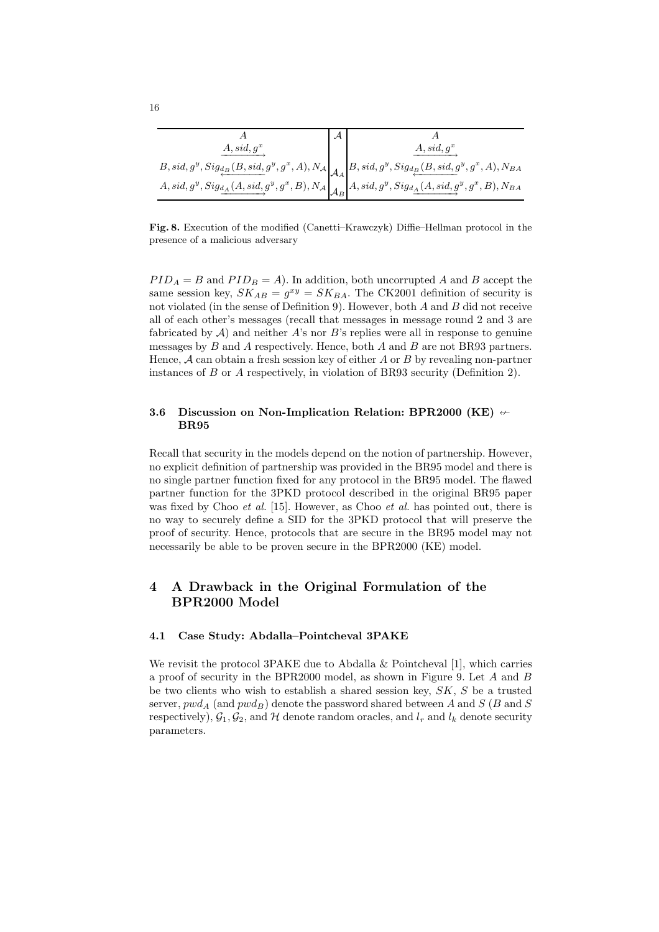| $A, sid, g^x$ | $A, sid, q^x$                                                                                                                                                                   |
|---------------|---------------------------------------------------------------------------------------------------------------------------------------------------------------------------------|
|               | $B, sid, g^y, Sig_{\underleftarrow{d_B}(B, sid, g^y, g^x, A), N_{\mathcal{A}}}\Bigg _{\mathcal{A}_A}\Bigg B, sid, g^y, Sig_{\underleftarrow{d_B}(B, sid, g^y, g^x, A), N_{BA}}$ |
|               | $A,sid,g^y, Sig_{\underline{d_A}(A,sid,g^y,g^x,B),N_{\mathcal{A}}}\Bigg\vert_{\mathcal{A}_B}^{s,A} \Bigg\vert A,sid,g^y, Sig_{\underline{d_A}(A,sid,g^y,g^x,B),N_{BA}}$         |

Fig. 8. Execution of the modified (Canetti–Krawczyk) Diffie–Hellman protocol in the presence of a malicious adversary

 $PID_A = B$  and  $PID_B = A$ ). In addition, both uncorrupted A and B accept the same session key,  $SK_{AB} = g^{xy} = SK_{BA}$ . The CK2001 definition of security is not violated (in the sense of Definition 9). However, both  $A$  and  $B$  did not receive all of each other's messages (recall that messages in message round 2 and 3 are fabricated by  $A$ ) and neither  $A$ 's nor  $B$ 's replies were all in response to genuine messages by  $B$  and  $A$  respectively. Hence, both  $A$  and  $B$  are not BR93 partners. Hence,  $A$  can obtain a fresh session key of either A or B by revealing non-partner instances of B or A respectively, in violation of BR93 security (Definition 2).

### 3.6 Discussion on Non-Implication Relation: BPR2000 (KE)  $\leftarrow$ BR95

Recall that security in the models depend on the notion of partnership. However, no explicit definition of partnership was provided in the BR95 model and there is no single partner function fixed for any protocol in the BR95 model. The flawed partner function for the 3PKD protocol described in the original BR95 paper was fixed by Choo *et al.* [15]. However, as Choo *et al.* has pointed out, there is no way to securely define a SID for the 3PKD protocol that will preserve the proof of security. Hence, protocols that are secure in the BR95 model may not necessarily be able to be proven secure in the BPR2000 (KE) model.

## 4 A Drawback in the Original Formulation of the BPR2000 Model

#### 4.1 Case Study: Abdalla–Pointcheval 3PAKE

We revisit the protocol 3PAKE due to Abdalla  $&$  Pointcheval [1], which carries a proof of security in the BPR2000 model, as shown in Figure 9. Let A and B be two clients who wish to establish a shared session key,  $SK, S$  be a trusted server,  $pwd_A$  (and  $pwd_B$ ) denote the password shared between A and S (B and S respectively),  $\mathcal{G}_1, \mathcal{G}_2$ , and H denote random oracles, and  $l_r$  and  $l_k$  denote security parameters.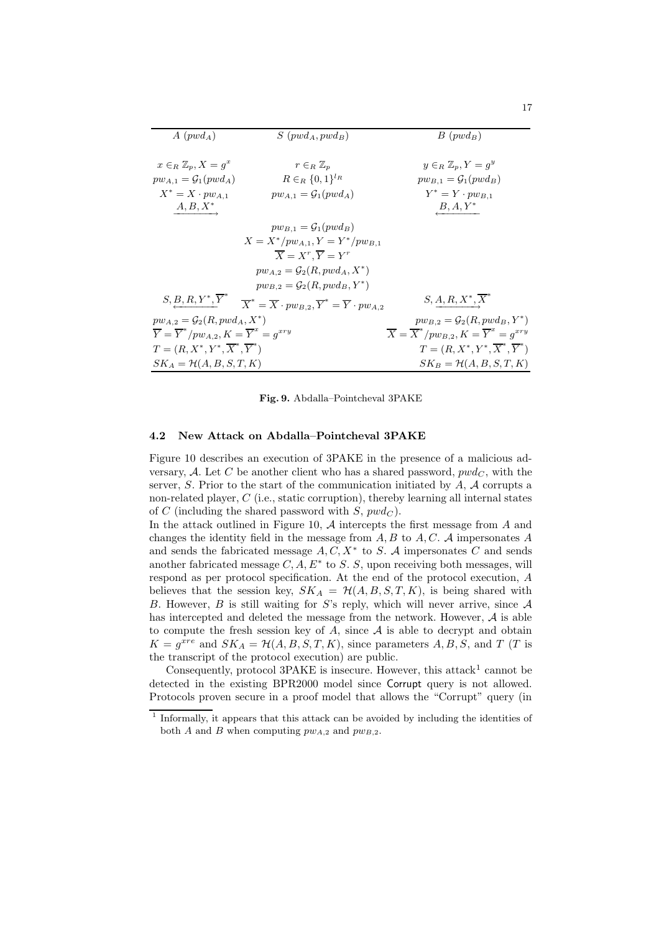| $A (p w d_A)$                                                          | $S(pwd_A, pwd_B)$                                                                                                                                | $B(pwd_B)$                                                             |
|------------------------------------------------------------------------|--------------------------------------------------------------------------------------------------------------------------------------------------|------------------------------------------------------------------------|
|                                                                        |                                                                                                                                                  |                                                                        |
| $x \in_R \mathbb{Z}_n, X = q^x$                                        | $r \in_R \mathbb{Z}_p$                                                                                                                           | $y \in_R \mathbb{Z}_n, Y = q^y$                                        |
| $pw_{A,1} = \mathcal{G}_1(pwd_A)$                                      | $R \in_R \{0,1\}^{l_R}$                                                                                                                          | $pw_{B,1} = \mathcal{G}_1(pwd_B)$                                      |
| $X^* = X \cdot pw_{A,1}$                                               | $pw_{A,1} = \mathcal{G}_1(pwd_A)$                                                                                                                | $Y^* = Y \cdot p w_{B,1}$                                              |
| $A, B, X^*$                                                            |                                                                                                                                                  | $B, A, Y^*$                                                            |
|                                                                        | $pw_{B,1} = \mathcal{G}_1(pwd_B)$                                                                                                                |                                                                        |
|                                                                        | $X = X^* / p w_{A,1}, Y = Y^* / p w_{B,1}$                                                                                                       |                                                                        |
|                                                                        | $\overline{X} = X^r, \overline{Y} = Y^r$                                                                                                         |                                                                        |
|                                                                        | $pw_{A,2} = \mathcal{G}_2(R, pwd_A, X^*)$                                                                                                        |                                                                        |
|                                                                        | $pw_{B,2} = \mathcal{G}_2(R, pw_{B}, Y^*)$                                                                                                       |                                                                        |
|                                                                        | $S, \underline{B}, R, Y^*, \overline{Y}^* \quad \  \overline{X}^* = \overline{X} \cdot p w_{B,2}, \overline{Y}^* = \overline{Y} \cdot p w_{A,2}$ | $S, A, R, X^*, \overline{X}^*$                                         |
| $pw_{A,2} = \mathcal{G}_2(R, pw_{A}, X^*)$                             |                                                                                                                                                  | $pw_{B,2} = \mathcal{G}_2(R, pw_{B, Y^*)$                              |
| $\overline{Y} = \overline{Y}^*/pw_{A,2}, K = \overline{Y}^x = g^{xry}$ |                                                                                                                                                  | $\overline{X} = \overline{X}^*/pw_{B,2}, K = \overline{Y}^x = g^{xry}$ |
| $T=(R, X^*, Y^*, \overline{X}^*, \overline{Y}^*)$                      |                                                                                                                                                  | $T=(R, X^*, Y^*, \overline{X}^*, \overline{Y}^*)$                      |
| $SK_A = \mathcal{H}(A, B, S, T, K)$                                    |                                                                                                                                                  | $SK_B = \mathcal{H}(A, B, S, T, K)$                                    |

Fig. 9. Abdalla–Pointcheval 3PAKE

#### 4.2 New Attack on Abdalla–Pointcheval 3PAKE

Figure 10 describes an execution of 3PAKE in the presence of a malicious adversary, A. Let C be another client who has a shared password,  $pwd_C$ , with the server, S. Prior to the start of the communication initiated by  $A$ ,  $A$  corrupts a non-related player, C (i.e., static corruption), thereby learning all internal states of C (including the shared password with  $S, pwd_C$ ).

In the attack outlined in Figure 10,  $A$  intercepts the first message from  $A$  and changes the identity field in the message from  $A, B$  to  $A, C, A$  impersonates  $A$ and sends the fabricated message  $A, C, X^*$  to S. A impersonates C and sends another fabricated message  $C, A, E^*$  to S. S, upon receiving both messages, will respond as per protocol specification. At the end of the protocol execution, A believes that the session key,  $SK_A = \mathcal{H}(A, B, S, T, K)$ , is being shared with B. However, B is still waiting for S's reply, which will never arrive, since  $A$ has intercepted and deleted the message from the network. However,  $A$  is able to compute the fresh session key of  $A$ , since  $A$  is able to decrypt and obtain  $K = g^{xre}$  and  $SK_A = \mathcal{H}(A, B, S, T, K)$ , since parameters  $A, B, S$ , and  $T$  (T is the transcript of the protocol execution) are public.

Consequently, protocol 3PAKE is insecure. However, this attack<sup>1</sup> cannot be detected in the existing BPR2000 model since Corrupt query is not allowed. Protocols proven secure in a proof model that allows the "Corrupt" query (in

<sup>&</sup>lt;sup>1</sup> Informally, it appears that this attack can be avoided by including the identities of both A and B when computing  $pw_{A,2}$  and  $pw_{B,2}$ .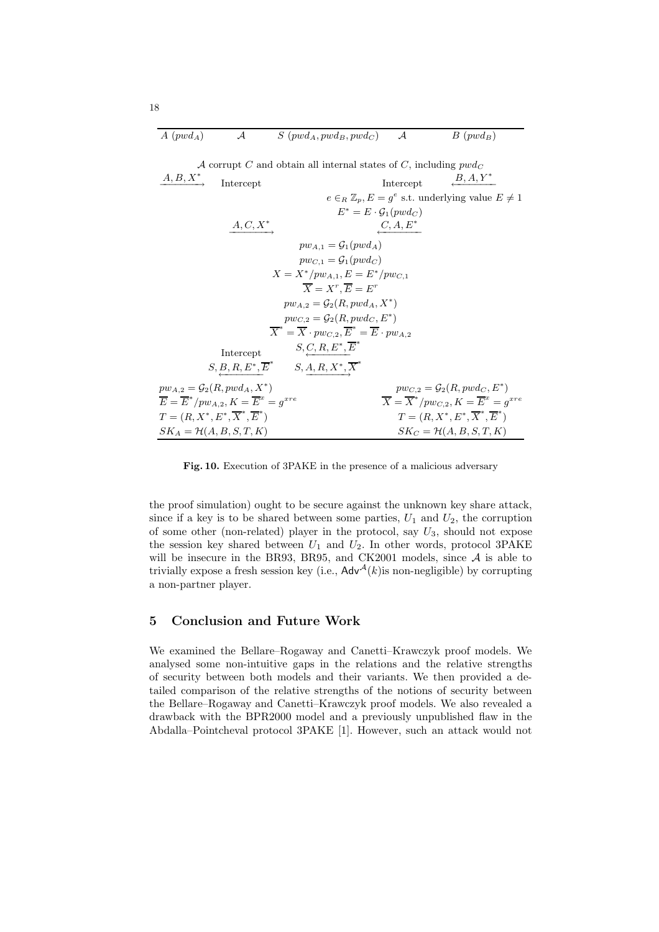| $A(pwd_A)$ | $S(pwd_A, pwd_B, pwd_C)$ $\mathcal{A}$ |  | $B(pwd_B)$ |
|------------|----------------------------------------|--|------------|
|------------|----------------------------------------|--|------------|

| A corrupt C and obtain all internal states of C, including $pwd_C$ |                                                                        |                                                                                              |                                      |                                                                        |
|--------------------------------------------------------------------|------------------------------------------------------------------------|----------------------------------------------------------------------------------------------|--------------------------------------|------------------------------------------------------------------------|
| $A, B, X^*$                                                        | Intercept                                                              |                                                                                              | Intercept                            | $B, A, Y^*$                                                            |
|                                                                    |                                                                        |                                                                                              |                                      | $e \in_R \mathbb{Z}_p, E = g^e$ s.t. underlying value $E \neq 1$       |
|                                                                    |                                                                        |                                                                                              | $E^* = E \cdot \mathcal{G}_1(pwd_C)$ |                                                                        |
|                                                                    | $A,C,X^{\ast}$                                                         |                                                                                              | $C, A, E^*$                          |                                                                        |
|                                                                    |                                                                        | $pw_{A,1} = \mathcal{G}_1(pwd_A)$                                                            |                                      |                                                                        |
|                                                                    |                                                                        | $pw_{C,1} = \mathcal{G}_1(pwd_C)$                                                            |                                      |                                                                        |
|                                                                    |                                                                        | $X = X^* / pw_{A,1}, E = E^* / pw_{C,1}$                                                     |                                      |                                                                        |
|                                                                    |                                                                        | $\overline{X} = X^r, \overline{E} = E^r$                                                     |                                      |                                                                        |
|                                                                    |                                                                        | $pw_{A,2} = \mathcal{G}_2(R, pwd_A, X^*)$                                                    |                                      |                                                                        |
|                                                                    |                                                                        | $pw_{C,2} = \mathcal{G}_2(R, pwd_C, E^*)$                                                    |                                      |                                                                        |
|                                                                    |                                                                        | $\overline{X}^* = \overline{X} \cdot pw_{C,2}, \overline{E}^* = \overline{E} \cdot pw_{A,2}$ |                                      |                                                                        |
|                                                                    | Intercept                                                              | $S, C, R, E^*, \overline{E}^*$                                                               |                                      |                                                                        |
|                                                                    |                                                                        | $S, B, R, E^*, \overline{E}^*$ $S, A, R, X^*, \overline{X}^*$                                |                                      |                                                                        |
|                                                                    | $pw_{A,2} = \mathcal{G}_2(R, pwd_A, X^*)$                              |                                                                                              |                                      | $pw_{C,2} = \mathcal{G}_2(R, pwd_C, E^*)$                              |
|                                                                    | $\overline{E} = \overline{E}^*/pw_{A,2}, K = \overline{E}^x = q^{xre}$ |                                                                                              |                                      | $\overline{X} = \overline{X}^*/pw_{C,2}, K = \overline{E}^x = q^{xre}$ |
|                                                                    | $T=(R, X^*, E^*, \overline{X}^*, \overline{E}^*)$                      |                                                                                              |                                      | $T=(R, X^*, E^*, \overline{X}^*, \overline{E}^*)$                      |
|                                                                    | $SK_A = \mathcal{H}(A, B, S, T, K)$                                    |                                                                                              |                                      | $SK_C = \mathcal{H}(A, B, S, T, K)$                                    |

Fig. 10. Execution of 3PAKE in the presence of a malicious adversary

the proof simulation) ought to be secure against the unknown key share attack, since if a key is to be shared between some parties,  $U_1$  and  $U_2$ , the corruption of some other (non-related) player in the protocol, say  $U_3$ , should not expose the session key shared between  $U_1$  and  $U_2$ . In other words, protocol 3PAKE will be insecure in the BR93, BR95, and CK2001 models, since  $A$  is able to trivially expose a fresh session key (i.e.,  $\mathsf{Adv}^{\mathcal{A}}(k)$  is non-negligible) by corrupting a non-partner player.

### 5 Conclusion and Future Work

We examined the Bellare–Rogaway and Canetti–Krawczyk proof models. We analysed some non-intuitive gaps in the relations and the relative strengths of security between both models and their variants. We then provided a detailed comparison of the relative strengths of the notions of security between the Bellare–Rogaway and Canetti–Krawczyk proof models. We also revealed a drawback with the BPR2000 model and a previously unpublished flaw in the Abdalla–Pointcheval protocol 3PAKE [1]. However, such an attack would not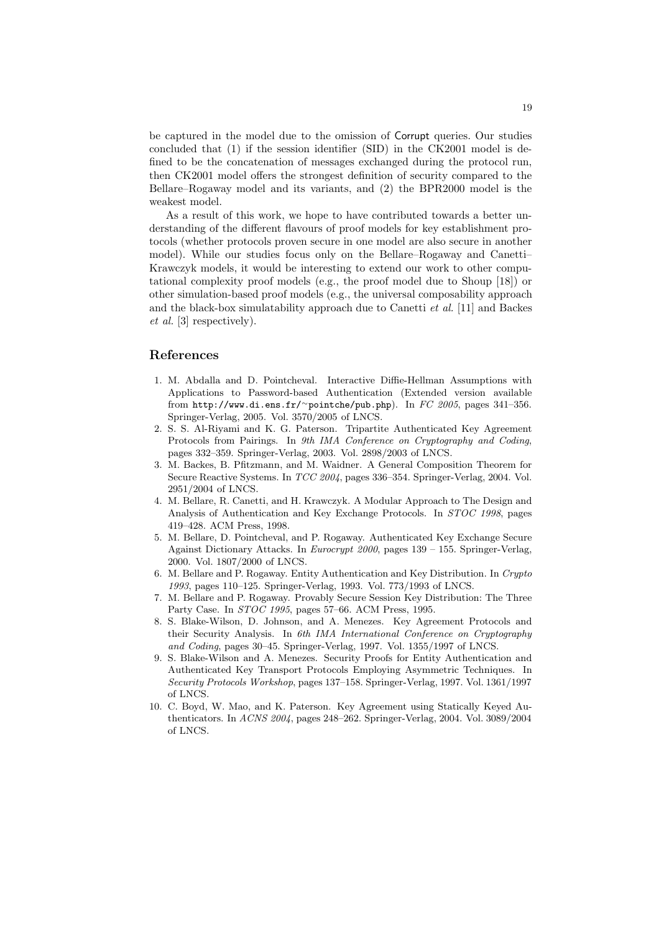be captured in the model due to the omission of Corrupt queries. Our studies concluded that (1) if the session identifier (SID) in the CK2001 model is defined to be the concatenation of messages exchanged during the protocol run, then CK2001 model offers the strongest definition of security compared to the Bellare–Rogaway model and its variants, and (2) the BPR2000 model is the weakest model.

As a result of this work, we hope to have contributed towards a better understanding of the different flavours of proof models for key establishment protocols (whether protocols proven secure in one model are also secure in another model). While our studies focus only on the Bellare–Rogaway and Canetti– Krawczyk models, it would be interesting to extend our work to other computational complexity proof models (e.g., the proof model due to Shoup [18]) or other simulation-based proof models (e.g., the universal composability approach and the black-box simulatability approach due to Canetti et al. [11] and Backes et al. [3] respectively).

#### References

- 1. M. Abdalla and D. Pointcheval. Interactive Diffie-Hellman Assumptions with Applications to Password-based Authentication (Extended version available from http://www.di.ens.fr/<sup>∼</sup>pointche/pub.php). In FC 2005, pages 341–356. Springer-Verlag, 2005. Vol. 3570/2005 of LNCS.
- 2. S. S. Al-Riyami and K. G. Paterson. Tripartite Authenticated Key Agreement Protocols from Pairings. In 9th IMA Conference on Cryptography and Coding, pages 332–359. Springer-Verlag, 2003. Vol. 2898/2003 of LNCS.
- 3. M. Backes, B. Pfitzmann, and M. Waidner. A General Composition Theorem for Secure Reactive Systems. In TCC 2004, pages 336–354. Springer-Verlag, 2004. Vol. 2951/2004 of LNCS.
- 4. M. Bellare, R. Canetti, and H. Krawczyk. A Modular Approach to The Design and Analysis of Authentication and Key Exchange Protocols. In STOC 1998, pages 419–428. ACM Press, 1998.
- 5. M. Bellare, D. Pointcheval, and P. Rogaway. Authenticated Key Exchange Secure Against Dictionary Attacks. In Eurocrypt 2000, pages 139 – 155. Springer-Verlag, 2000. Vol. 1807/2000 of LNCS.
- 6. M. Bellare and P. Rogaway. Entity Authentication and Key Distribution. In Crypto 1993, pages 110–125. Springer-Verlag, 1993. Vol. 773/1993 of LNCS.
- 7. M. Bellare and P. Rogaway. Provably Secure Session Key Distribution: The Three Party Case. In STOC 1995, pages 57–66. ACM Press, 1995.
- 8. S. Blake-Wilson, D. Johnson, and A. Menezes. Key Agreement Protocols and their Security Analysis. In 6th IMA International Conference on Cryptography and Coding, pages 30–45. Springer-Verlag, 1997. Vol. 1355/1997 of LNCS.
- 9. S. Blake-Wilson and A. Menezes. Security Proofs for Entity Authentication and Authenticated Key Transport Protocols Employing Asymmetric Techniques. In Security Protocols Workshop, pages 137–158. Springer-Verlag, 1997. Vol. 1361/1997 of LNCS.
- 10. C. Boyd, W. Mao, and K. Paterson. Key Agreement using Statically Keyed Authenticators. In ACNS 2004, pages 248–262. Springer-Verlag, 2004. Vol. 3089/2004 of LNCS.